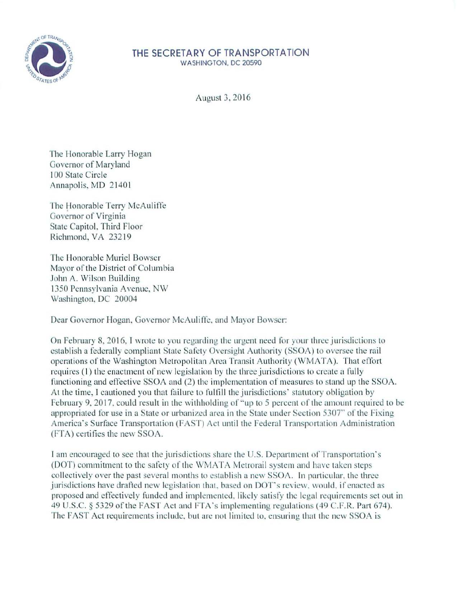

## **THE SECRETARY OF TRANSPORTATION**  WASHINGTON, DC 20590

/\ugust 3, 2016

The Honorable Larry Hogan Governor of Maryland I00 State Circle Annapolis, MD 21401

The Honorable Terry McAuliffe Governor of Virginia State Capitol. Third Floor Richmond, VA 23219

The Honorable Muriel Bowser Mayor of the District of Columbia John A. Wilson Building 1350 Pennsylvania Avenue, NW Washington. DC 20004

Dear Governor Hogan, Governor McAuliffe, and Mayor Bowser:

On February 8. 20 16. I wrote to you regarding the urgent need for your three jurisdictions to establish a federally compliant State Safety Oversight Authority (SSOA) to oversee the rail operations of the Washington Metropolitan Arca Transit Authority (WMATA). That effort requires (1) the enactment of new legislation by the three jurisdictions to create a fully functioning and effective SSOA and (2) the implementation of measures to stand up the SSOA. At the time, I cautioned you that failure to fulfill the jurisdictions' statutory obligation by February 9, 2017, could result in the withholding of "up to 5 percent of the amount required to be appropriated for use in a State or urbanized area in the State under Section 5307" of the Fixing America's Surface Transportation (FAST) Act until the Federal Transportation Administration (FT.A) certifies the new SSOA.

I am encouraged to see that the jurisdictions share the U.S. Department of Transportation's (DOT) commitment to the safety of the WMATA Metrorail system and have taken steps collectively over the past several months to establish a new SSOA. In particular, the three jurisdictions have drafted new legislation that, based on DOT's review, would, if enacted as proposed and effectively funded and implemented, likely satisfy the legal requirements set out in 49 U.S.C. § 5329 of the FAST Act and FTA's implementing regulations (49 C.F.R. Part 674). The FAST Act requirements include, but are not limited to, ensuring that the new SSOA is